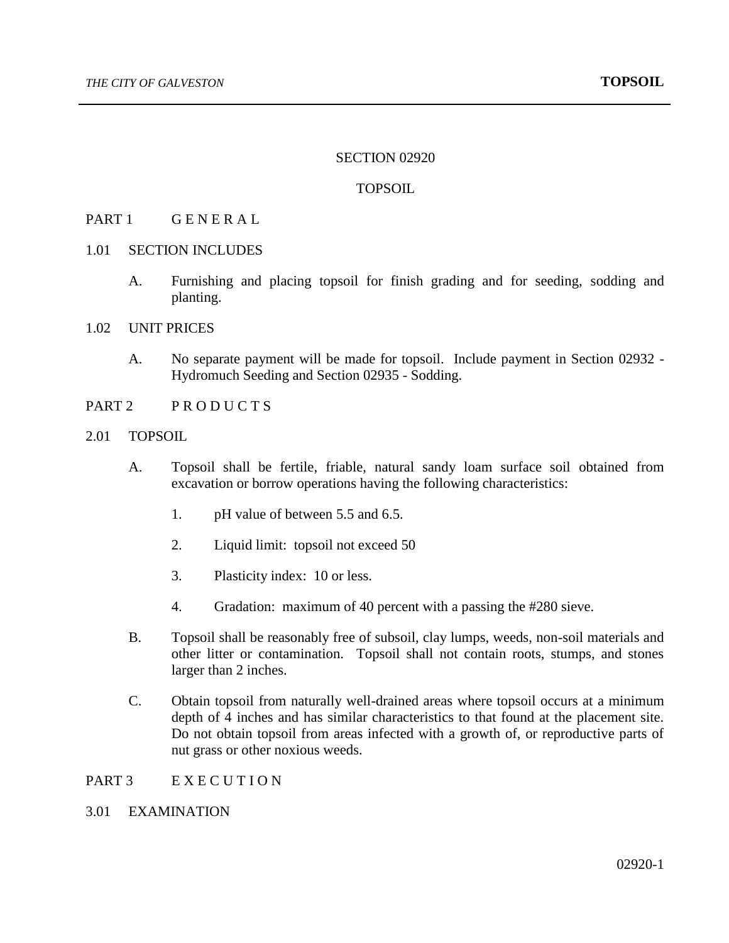## SECTION 02920

## TOPSOIL

## PART 1 GENERAL

- 1.01 SECTION INCLUDES
	- A. Furnishing and placing topsoil for finish grading and for seeding, sodding and planting.
- 1.02 UNIT PRICES
	- A. No separate payment will be made for topsoil. Include payment in Section 02932 Hydromuch Seeding and Section 02935 - Sodding.
- PART 2 PRODUCTS
- 2.01 TOPSOIL
	- A. Topsoil shall be fertile, friable, natural sandy loam surface soil obtained from excavation or borrow operations having the following characteristics:
		- 1. pH value of between 5.5 and 6.5.
		- 2. Liquid limit: topsoil not exceed 50
		- 3. Plasticity index: 10 or less.
		- 4. Gradation: maximum of 40 percent with a passing the #280 sieve.
	- B. Topsoil shall be reasonably free of subsoil, clay lumps, weeds, non-soil materials and other litter or contamination. Topsoil shall not contain roots, stumps, and stones larger than 2 inches.
	- C. Obtain topsoil from naturally well-drained areas where topsoil occurs at a minimum depth of 4 inches and has similar characteristics to that found at the placement site. Do not obtain topsoil from areas infected with a growth of, or reproductive parts of nut grass or other noxious weeds.

# PART 3 EXECUTION

# 3.01 EXAMINATION